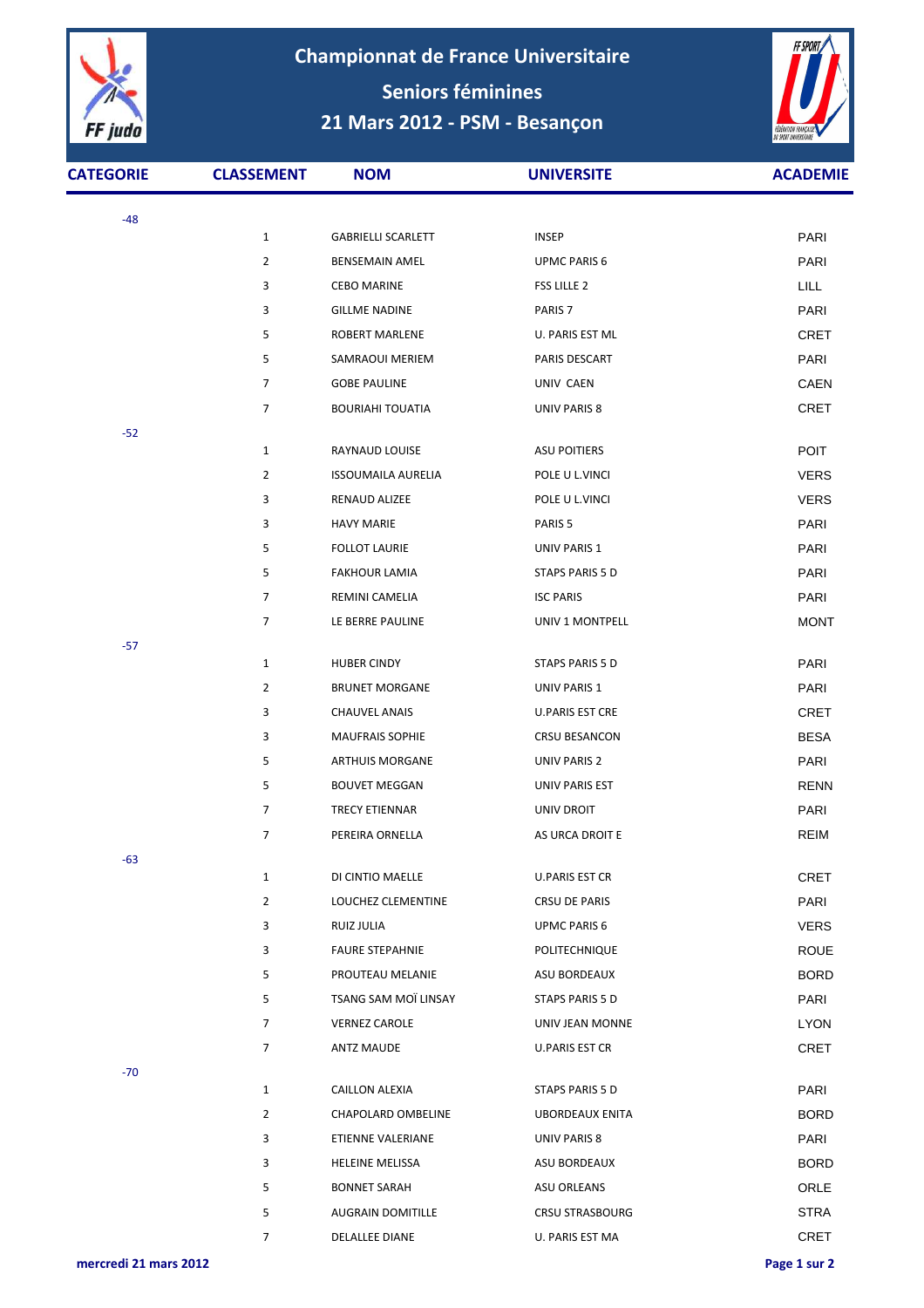

**Championnat de France Universitaire Seniors féminines 21 Mars 2012 - PSM - Besançon**



| <b>CATEGORIE</b> | <b>CLASSEMENT</b> | <b>NOM</b>                | <b>UNIVERSITE</b>      | <b>ACADEMIE</b> |
|------------------|-------------------|---------------------------|------------------------|-----------------|
| $-48$            |                   |                           |                        |                 |
|                  | $\mathbf{1}$      | <b>GABRIELLI SCARLETT</b> | <b>INSEP</b>           | PARI            |
|                  | $\overline{2}$    | <b>BENSEMAIN AMEL</b>     | <b>UPMC PARIS 6</b>    | <b>PARI</b>     |
|                  | 3                 | <b>CEBO MARINE</b>        | FSS LILLE 2            | <b>LILL</b>     |
|                  | 3                 | <b>GILLME NADINE</b>      | PARIS <sub>7</sub>     | PARI            |
|                  | 5                 | <b>ROBERT MARLENE</b>     | U. PARIS EST ML        | <b>CRET</b>     |
|                  | 5                 | SAMRAOUI MERIEM           | PARIS DESCART          | PARI            |
|                  | 7                 | <b>GOBE PAULINE</b>       | UNIV CAEN              | CAEN            |
|                  | 7                 | <b>BOURIAHI TOUATIA</b>   | UNIV PARIS 8           | <b>CRET</b>     |
| $-52$            |                   |                           |                        |                 |
|                  | $\mathbf{1}$      | RAYNAUD LOUISE            | <b>ASU POITIERS</b>    | <b>POIT</b>     |
|                  | $\overline{2}$    | <b>ISSOUMAILA AURELIA</b> | POLE U L.VINCI         | <b>VERS</b>     |
|                  | 3                 | RENAUD ALIZEE             | POLE U L.VINCI         | <b>VERS</b>     |
|                  | 3                 | <b>HAVY MARIE</b>         | PARIS <sub>5</sub>     | PARI            |
|                  | 5                 | <b>FOLLOT LAURIE</b>      | UNIV PARIS 1           | PARI            |
|                  | 5                 | <b>FAKHOUR LAMIA</b>      | <b>STAPS PARIS 5 D</b> | PARI            |
|                  | 7                 | REMINI CAMELIA            | <b>ISC PARIS</b>       | PARI            |
|                  | 7                 | LE BERRE PAULINE          | UNIV 1 MONTPELL        | <b>MONT</b>     |
| $-57$            |                   |                           |                        |                 |
|                  | $\mathbf{1}$      | <b>HUBER CINDY</b>        | <b>STAPS PARIS 5 D</b> | PARI            |
|                  | $\overline{2}$    | <b>BRUNET MORGANE</b>     | UNIV PARIS 1           | PARI            |
|                  | 3                 | <b>CHAUVEL ANAIS</b>      | <b>U.PARIS EST CRE</b> | <b>CRET</b>     |
|                  | 3                 | <b>MAUFRAIS SOPHIE</b>    | <b>CRSU BESANCON</b>   | <b>BESA</b>     |
|                  | 5                 | ARTHUIS MORGANE           | UNIV PARIS 2           | PARI            |
|                  | 5                 | <b>BOUVET MEGGAN</b>      | UNIV PARIS EST         | <b>RENN</b>     |
|                  | 7                 | <b>TRECY ETIENNAR</b>     | UNIV DROIT             | PARI            |
|                  | 7                 | PEREIRA ORNELLA           | AS URCA DROIT E        | <b>REIM</b>     |
| $-63$            |                   |                           |                        |                 |
|                  | $\mathbf{1}$      | DI CINTIO MAELLE          | U.PARIS EST CR         | <b>CRET</b>     |
|                  | $\overline{2}$    | LOUCHEZ CLEMENTINE        | CRSU DE PARIS          | PARI            |
|                  | 3                 | RUIZ JULIA                | UPMC PARIS 6           | <b>VERS</b>     |
|                  | 3                 | <b>FAURE STEPAHNIE</b>    | POLITECHNIQUE          | <b>ROUE</b>     |
|                  | 5                 | PROUTEAU MELANIE          | ASU BORDEAUX           | <b>BORD</b>     |
|                  | 5                 | TSANG SAM MOÏ LINSAY      | STAPS PARIS 5 D        | PARI            |
|                  | 7                 | <b>VERNEZ CAROLE</b>      | UNIV JEAN MONNE        | <b>LYON</b>     |
|                  | 7                 | <b>ANTZ MAUDE</b>         | U.PARIS EST CR         | <b>CRET</b>     |
| $-70$            |                   |                           |                        |                 |
|                  | $\mathbf{1}$      | CAILLON ALEXIA            | STAPS PARIS 5 D        | PARI            |
|                  | $\overline{2}$    | CHAPOLARD OMBELINE        | <b>UBORDEAUX ENITA</b> | <b>BORD</b>     |
|                  | 3                 | ETIENNE VALERIANE         | UNIV PARIS 8           | PARI            |
|                  | 3                 | <b>HELEINE MELISSA</b>    | ASU BORDEAUX           | <b>BORD</b>     |
|                  | 5                 | <b>BONNET SARAH</b>       | ASU ORLEANS            | <b>ORLE</b>     |
|                  | 5                 | <b>AUGRAIN DOMITILLE</b>  | <b>CRSU STRASBOURG</b> | <b>STRA</b>     |
|                  | 7                 | DELALLEE DIANE            | U. PARIS EST MA        | <b>CRET</b>     |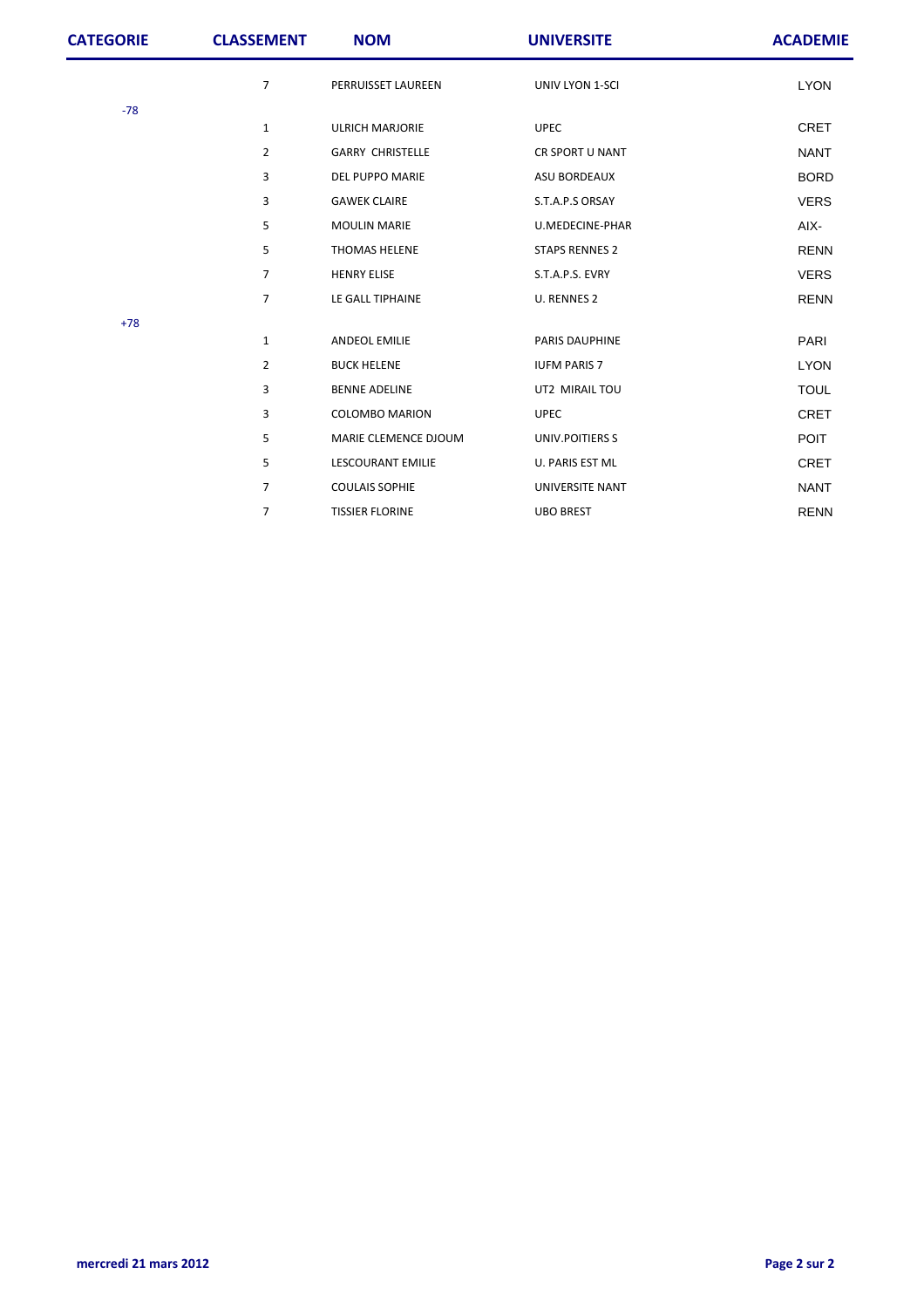| <b>CATEGORIE</b> | <b>CLASSEMENT</b> | <b>NOM</b>               | <b>UNIVERSITE</b>     | <b>ACADEMIE</b> |
|------------------|-------------------|--------------------------|-----------------------|-----------------|
|                  | $\overline{7}$    | PERRUISSET LAUREEN       | UNIV LYON 1-SCI       | <b>LYON</b>     |
| $-78$            |                   |                          |                       |                 |
|                  | $\mathbf{1}$      | <b>ULRICH MARJORIE</b>   | <b>UPEC</b>           | <b>CRET</b>     |
|                  | $\overline{2}$    | <b>GARRY CHRISTELLE</b>  | CR SPORT U NANT       | <b>NANT</b>     |
|                  | 3                 | DEL PUPPO MARIE          | ASU BORDEAUX          | <b>BORD</b>     |
|                  | 3                 | <b>GAWEK CLAIRE</b>      | S.T.A.P.S ORSAY       | <b>VERS</b>     |
|                  | 5                 | <b>MOULIN MARIE</b>      | U.MEDECINE-PHAR       | AIX-            |
|                  | 5                 | <b>THOMAS HELENE</b>     | <b>STAPS RENNES 2</b> | <b>RENN</b>     |
|                  | $\overline{7}$    | <b>HENRY ELISE</b>       | S.T.A.P.S. EVRY       | <b>VERS</b>     |
|                  | $\overline{7}$    | LE GALL TIPHAINE         | U. RENNES 2           | <b>RENN</b>     |
| $+78$            |                   |                          |                       |                 |
|                  | $\mathbf{1}$      | ANDEOL EMILIE            | PARIS DAUPHINE        | PARI            |
|                  | $\overline{2}$    | <b>BUCK HELENE</b>       | <b>IUFM PARIS 7</b>   | <b>LYON</b>     |
|                  | 3                 | <b>BENNE ADELINE</b>     | UT2 MIRAIL TOU        | <b>TOUL</b>     |
|                  | 3                 | <b>COLOMBO MARION</b>    | <b>UPEC</b>           | <b>CRET</b>     |
|                  | 5                 | MARIE CLEMENCE DJOUM     | UNIV.POITIERS S       | <b>POIT</b>     |
|                  | 5                 | <b>LESCOURANT EMILIE</b> | U. PARIS EST ML       | <b>CRET</b>     |
|                  | $\overline{7}$    | <b>COULAIS SOPHIE</b>    | UNIVERSITE NANT       | <b>NANT</b>     |
|                  | 7                 | <b>TISSIER FLORINE</b>   | <b>UBO BREST</b>      | <b>RENN</b>     |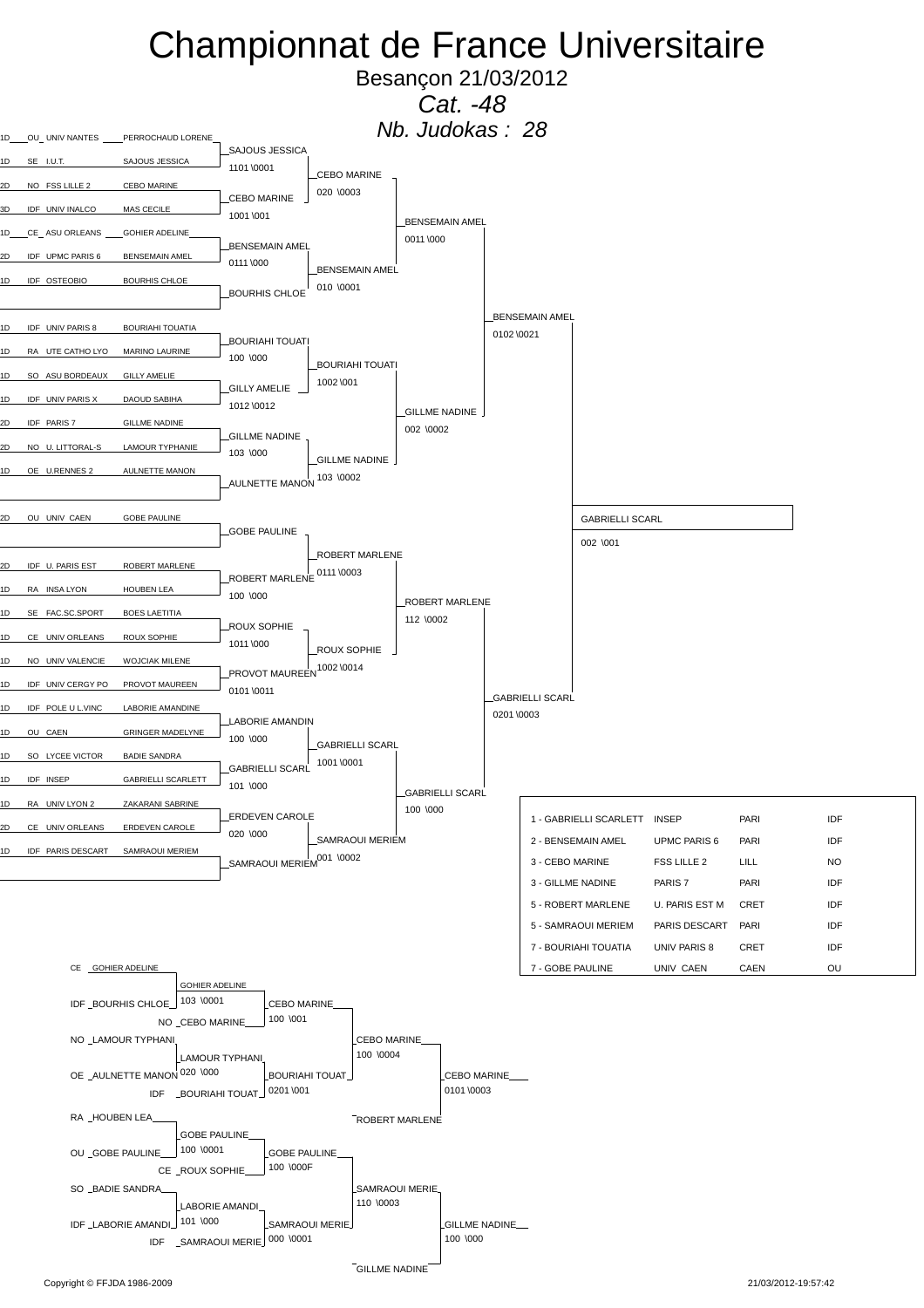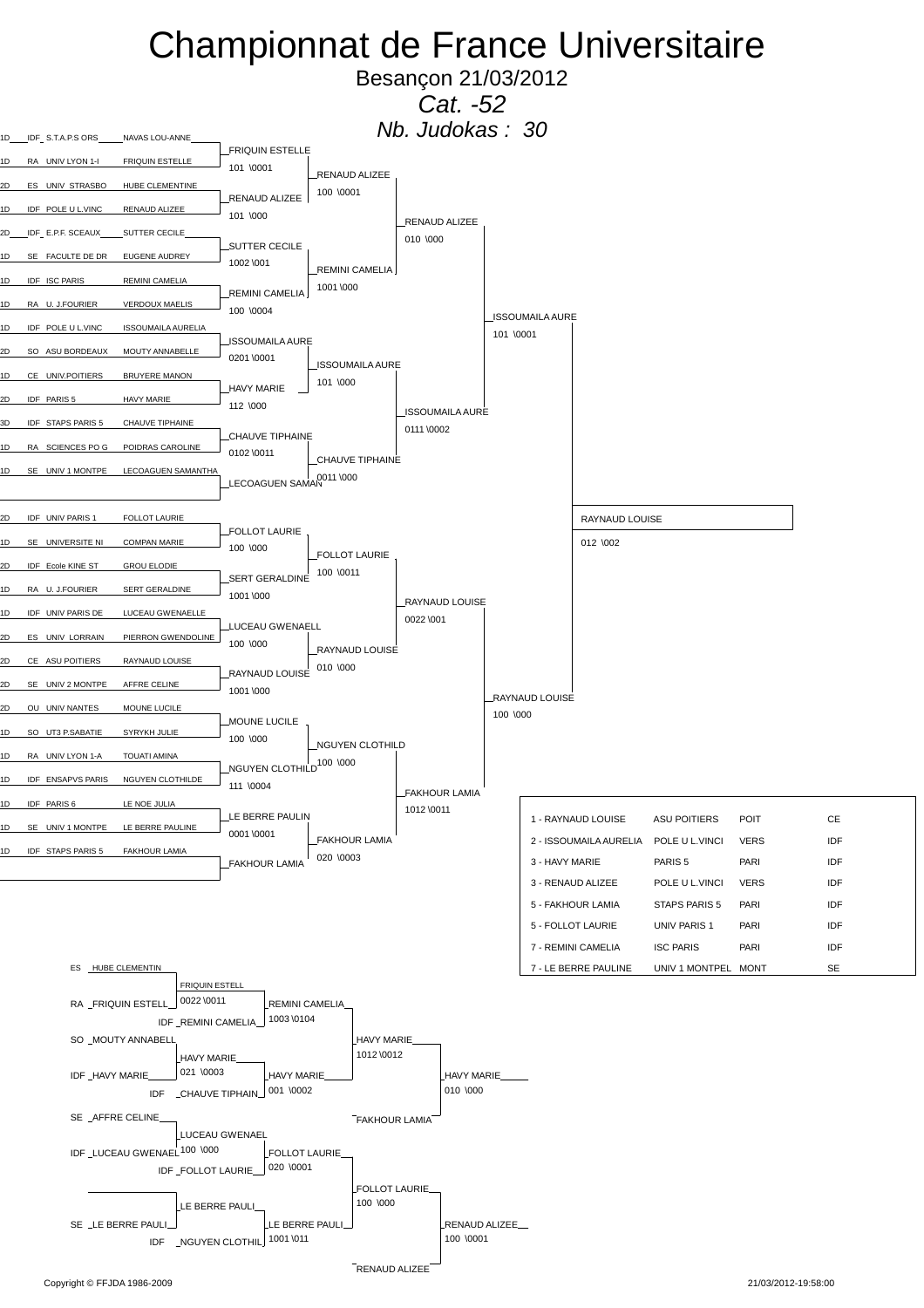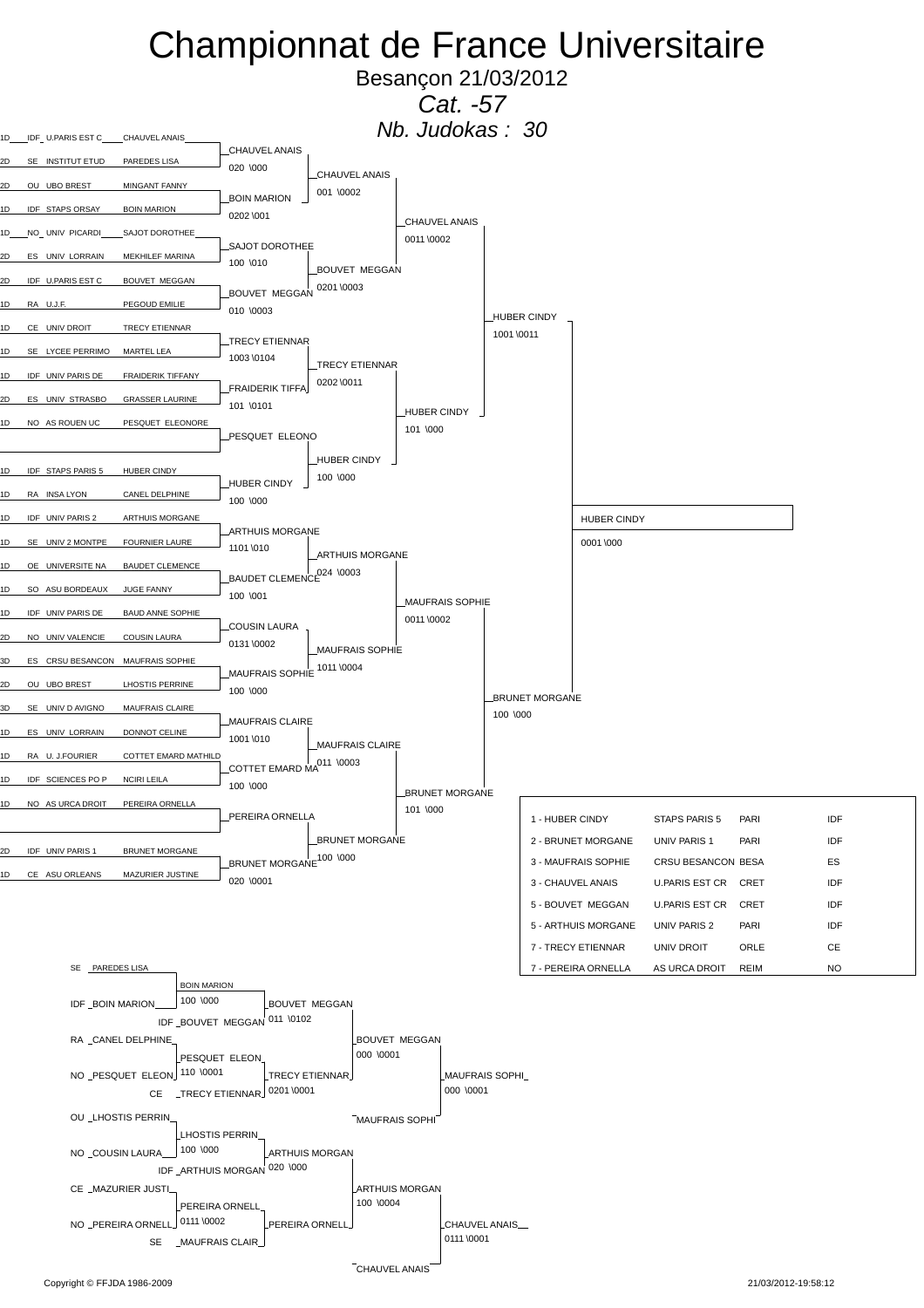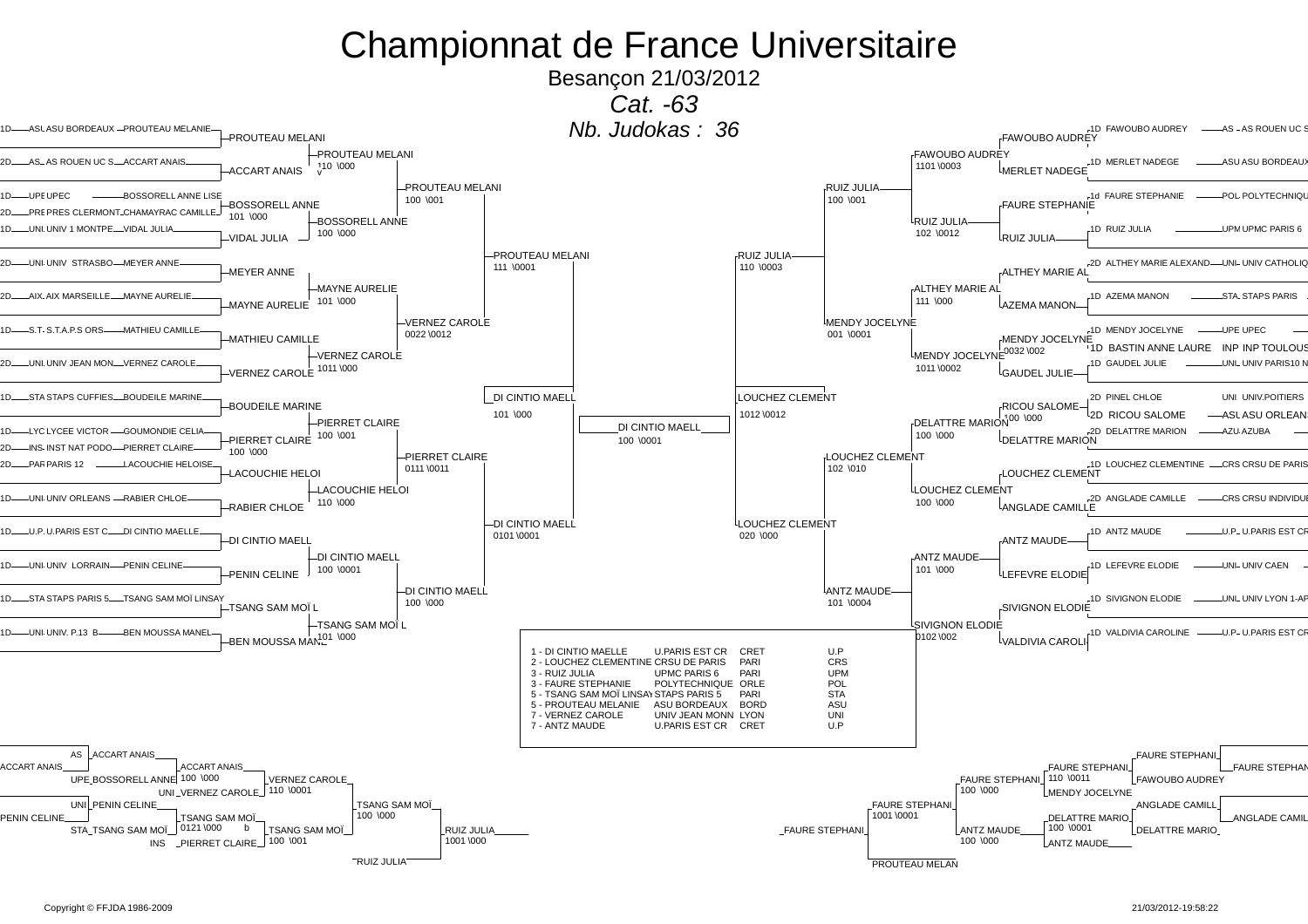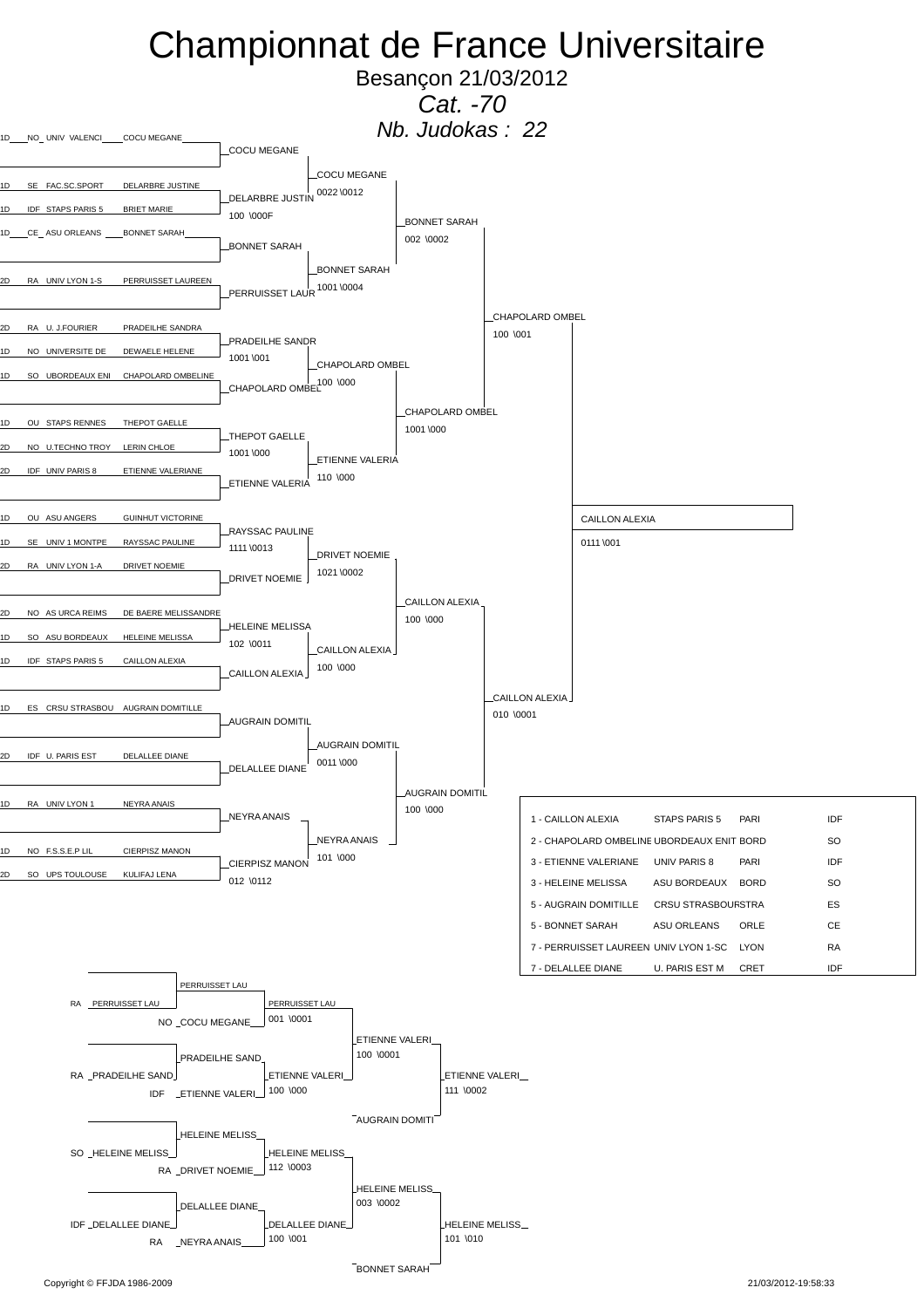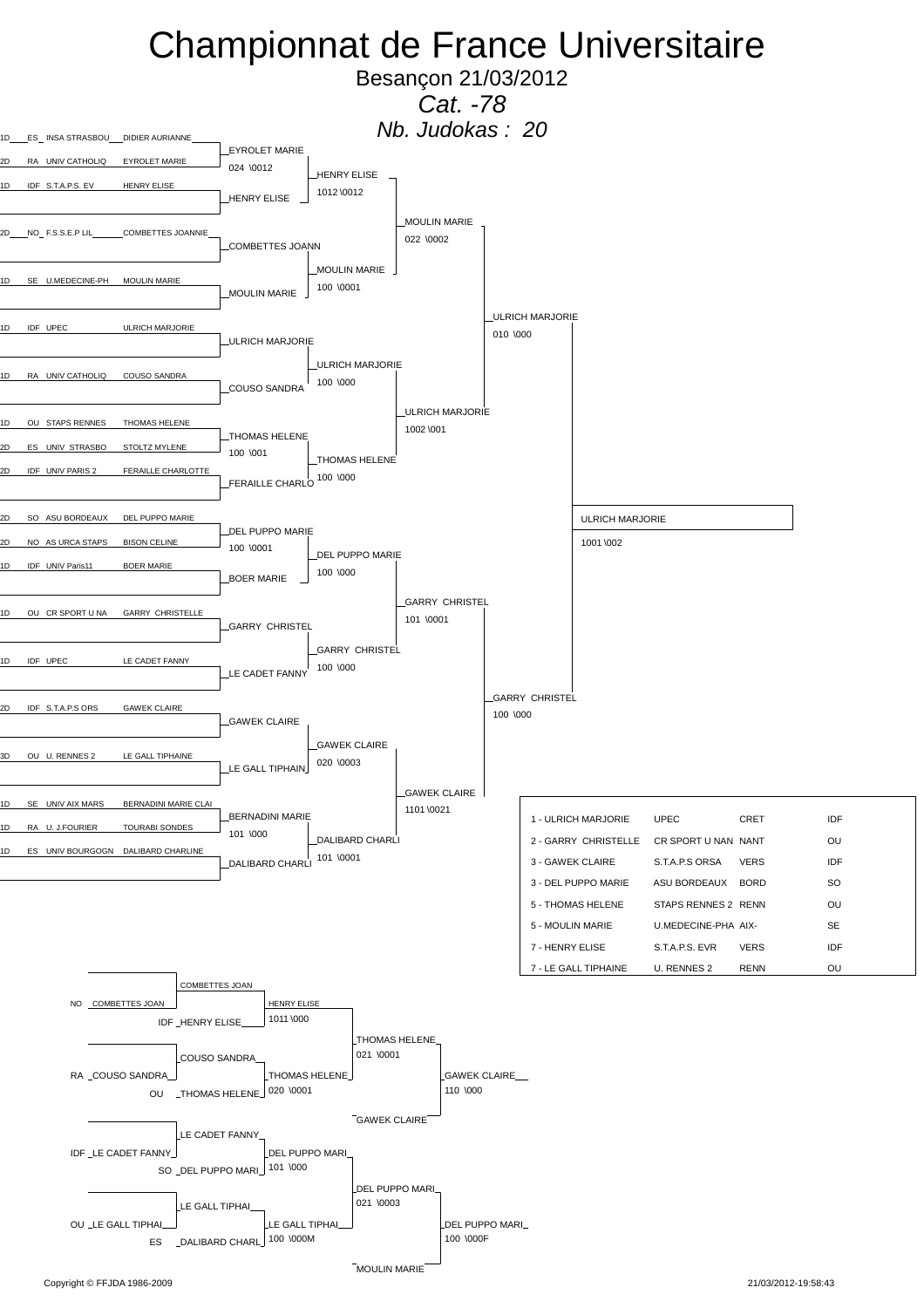